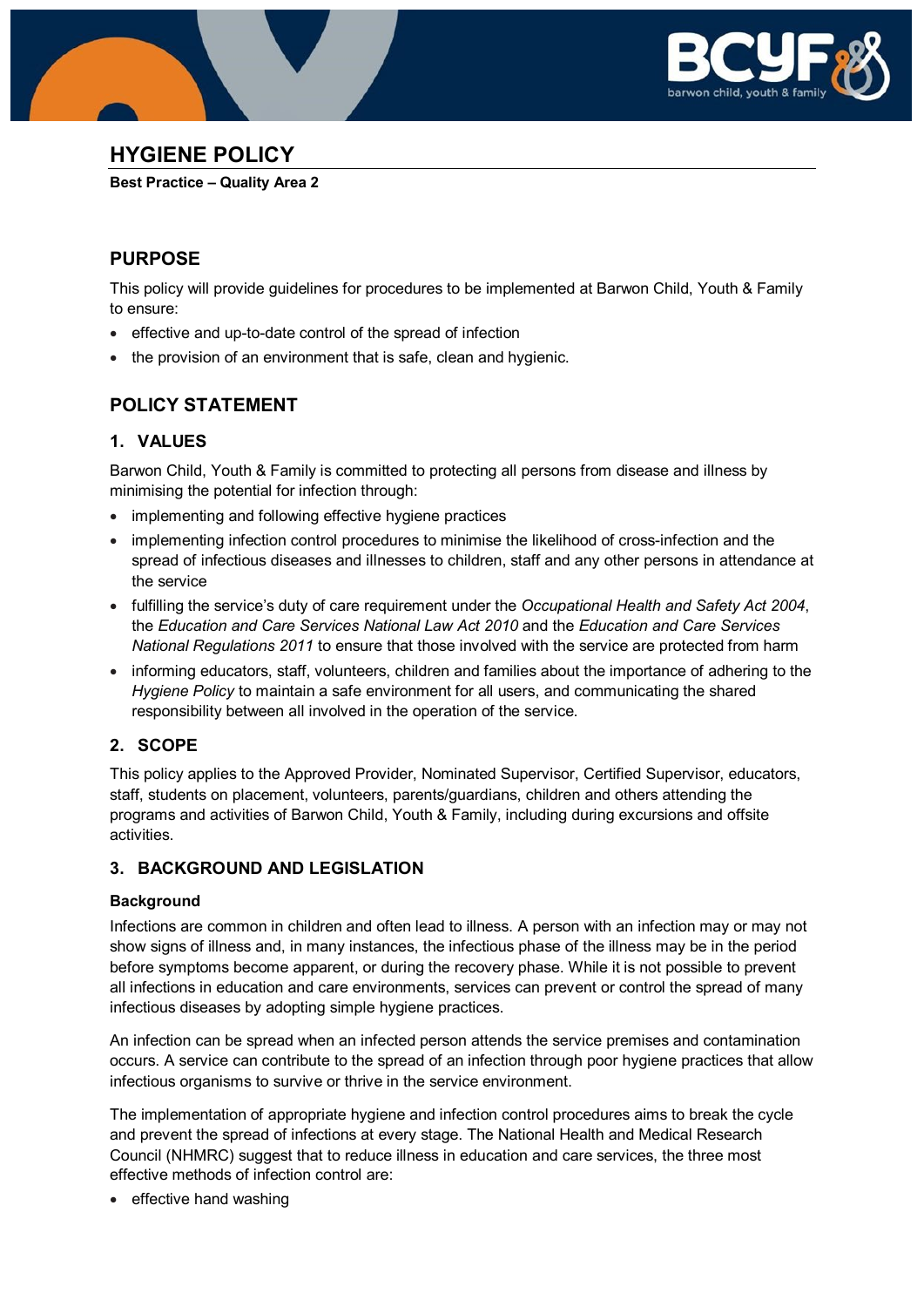



# **HYGIENE POLICY**

**Best Practice – Quality Area 2**

## **PURPOSE**

This policy will provide guidelines for procedures to be implemented at Barwon Child, Youth & Family to ensure:

- effective and up-to-date control of the spread of infection
- the provision of an environment that is safe, clean and hygienic.

## **POLICY STATEMENT**

## **1. VALUES**

Barwon Child, Youth & Family is committed to protecting all persons from disease and illness by minimising the potential for infection through:

- implementing and following effective hygiene practices
- implementing infection control procedures to minimise the likelihood of cross-infection and the spread of infectious diseases and illnesses to children, staff and any other persons in attendance at the service
- fulfilling the service's duty of care requirement under the *Occupational Health and Safety Act 2004*, the *Education and Care Services National Law Act 2010* and the *Education and Care Services National Regulations 2011* to ensure that those involved with the service are protected from harm
- informing educators, staff, volunteers, children and families about the importance of adhering to the *Hygiene Policy* to maintain a safe environment for all users, and communicating the shared responsibility between all involved in the operation of the service.

## **2. SCOPE**

This policy applies to the Approved Provider, Nominated Supervisor, Certified Supervisor, educators, staff, students on placement, volunteers, parents/guardians, children and others attending the programs and activities of Barwon Child, Youth & Family, including during excursions and offsite activities.

## **3. BACKGROUND AND LEGISLATION**

### **Background**

Infections are common in children and often lead to illness. A person with an infection may or may not show signs of illness and, in many instances, the infectious phase of the illness may be in the period before symptoms become apparent, or during the recovery phase. While it is not possible to prevent all infections in education and care environments, services can prevent or control the spread of many infectious diseases by adopting simple hygiene practices.

An infection can be spread when an infected person attends the service premises and contamination occurs. A service can contribute to the spread of an infection through poor hygiene practices that allow infectious organisms to survive or thrive in the service environment.

The implementation of appropriate hygiene and infection control procedures aims to break the cycle and prevent the spread of infections at every stage. The National Health and Medical Research Council (NHMRC) suggest that to reduce illness in education and care services, the three most effective methods of infection control are:

• effective hand washing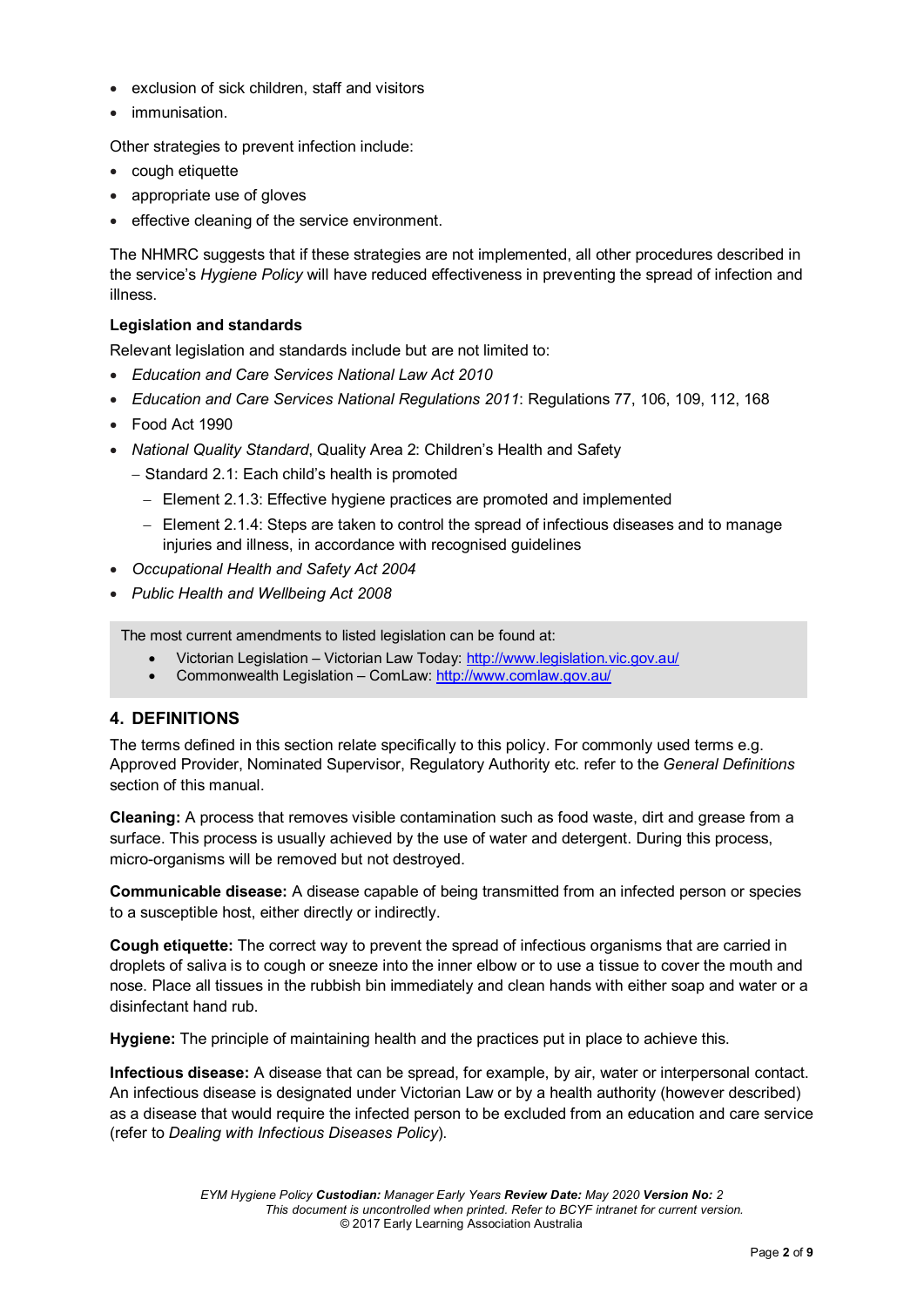- exclusion of sick children, staff and visitors
- immunisation.

Other strategies to prevent infection include:

- cough etiquette
- appropriate use of gloves
- effective cleaning of the service environment.

The NHMRC suggests that if these strategies are not implemented, all other procedures described in the service's *Hygiene Policy* will have reduced effectiveness in preventing the spread of infection and illness.

#### **Legislation and standards**

Relevant legislation and standards include but are not limited to:

- *Education and Care Services National Law Act 2010*
- *Education and Care Services National Regulations 2011*: Regulations 77, 106, 109, 112, 168
- Food Act 1990
- *National Quality Standard*, Quality Area 2: Children's Health and Safety
	- − Standard 2.1: Each child's health is promoted
		- − Element 2.1.3: Effective hygiene practices are promoted and implemented
		- − Element 2.1.4: Steps are taken to control the spread of infectious diseases and to manage injuries and illness, in accordance with recognised guidelines
- *Occupational Health and Safety Act 2004*
- *Public Health and Wellbeing Act 2008*

The most current amendments to listed legislation can be found at:

- Victorian Legislation Victorian Law Today:<http://www.legislation.vic.gov.au/>
- Commonwealth Legislation ComLaw:<http://www.comlaw.gov.au/>

#### **4. DEFINITIONS**

The terms defined in this section relate specifically to this policy. For commonly used terms e.g. Approved Provider, Nominated Supervisor, Regulatory Authority etc. refer to the *General Definitions* section of this manual.

**Cleaning:** A process that removes visible contamination such as food waste, dirt and grease from a surface. This process is usually achieved by the use of water and detergent. During this process, micro-organisms will be removed but not destroyed.

**Communicable disease:** A disease capable of being transmitted from an infected person or species to a susceptible host, either directly or indirectly.

**Cough etiquette:** The correct way to prevent the spread of infectious organisms that are carried in droplets of saliva is to cough or sneeze into the inner elbow or to use a tissue to cover the mouth and nose. Place all tissues in the rubbish bin immediately and clean hands with either soap and water or a disinfectant hand rub.

**Hygiene:** The principle of maintaining health and the practices put in place to achieve this.

**Infectious disease:** A disease that can be spread, for example, by air, water or interpersonal contact. An infectious disease is designated under Victorian Law or by a health authority (however described) as a disease that would require the infected person to be excluded from an education and care service (refer to *Dealing with Infectious Diseases Policy*).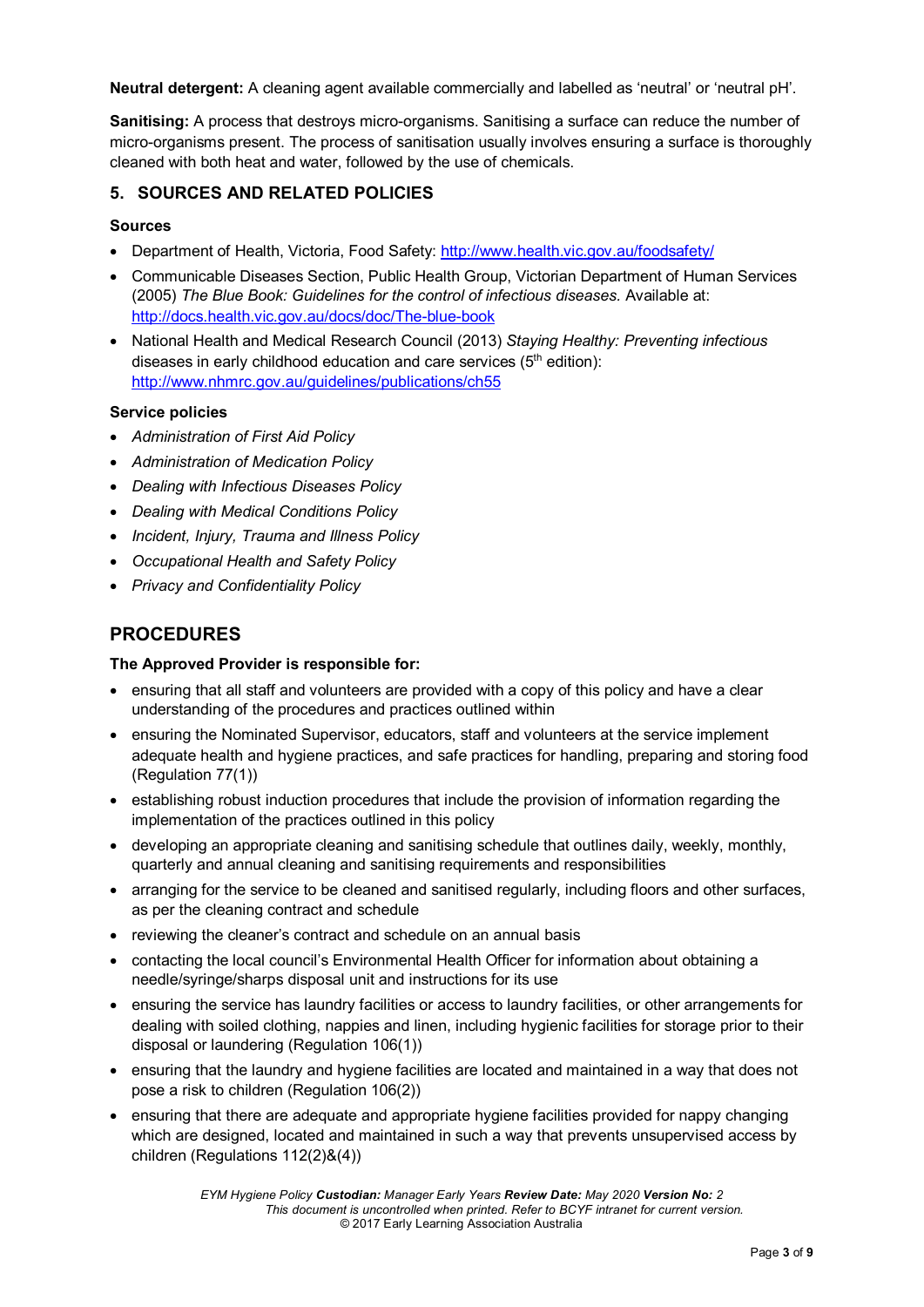**Neutral detergent:** A cleaning agent available commercially and labelled as 'neutral' or 'neutral pH'.

**Sanitising:** A process that destroys micro-organisms. Sanitising a surface can reduce the number of micro-organisms present. The process of sanitisation usually involves ensuring a surface is thoroughly cleaned with both heat and water, followed by the use of chemicals.

### **5. SOURCES AND RELATED POLICIES**

#### **Sources**

- Department of Health, Victoria, Food Safety:<http://www.health.vic.gov.au/foodsafety/>
- Communicable Diseases Section, Public Health Group, Victorian Department of Human Services (2005) *The Blue Book: Guidelines for the control of infectious diseases.* Available at: <http://docs.health.vic.gov.au/docs/doc/The-blue-book>
- National Health and Medical Research Council (2013) *Staying Healthy: Preventing infectious*  diseases in early childhood education and care services  $(5<sup>th</sup>$  edition): <http://www.nhmrc.gov.au/guidelines/publications/ch55>

#### **Service policies**

- *Administration of First Aid Policy*
- *Administration of Medication Policy*
- *Dealing with Infectious Diseases Policy*
- *Dealing with Medical Conditions Policy*
- *Incident, Injury, Trauma and Illness Policy*
- *Occupational Health and Safety Policy*
- *Privacy and Confidentiality Policy*

### **PROCEDURES**

#### **The Approved Provider is responsible for:**

- ensuring that all staff and volunteers are provided with a copy of this policy and have a clear understanding of the procedures and practices outlined within
- ensuring the Nominated Supervisor, educators, staff and volunteers at the service implement adequate health and hygiene practices, and safe practices for handling, preparing and storing food (Regulation 77(1))
- establishing robust induction procedures that include the provision of information regarding the implementation of the practices outlined in this policy
- developing an appropriate cleaning and sanitising schedule that outlines daily, weekly, monthly, quarterly and annual cleaning and sanitising requirements and responsibilities
- arranging for the service to be cleaned and sanitised regularly, including floors and other surfaces, as per the cleaning contract and schedule
- reviewing the cleaner's contract and schedule on an annual basis
- contacting the local council's Environmental Health Officer for information about obtaining a needle/syringe/sharps disposal unit and instructions for its use
- ensuring the service has laundry facilities or access to laundry facilities, or other arrangements for dealing with soiled clothing, nappies and linen, including hygienic facilities for storage prior to their disposal or laundering (Regulation 106(1))
- ensuring that the laundry and hygiene facilities are located and maintained in a way that does not pose a risk to children (Regulation 106(2))
- ensuring that there are adequate and appropriate hygiene facilities provided for nappy changing which are designed, located and maintained in such a way that prevents unsupervised access by children (Regulations 112(2)&(4))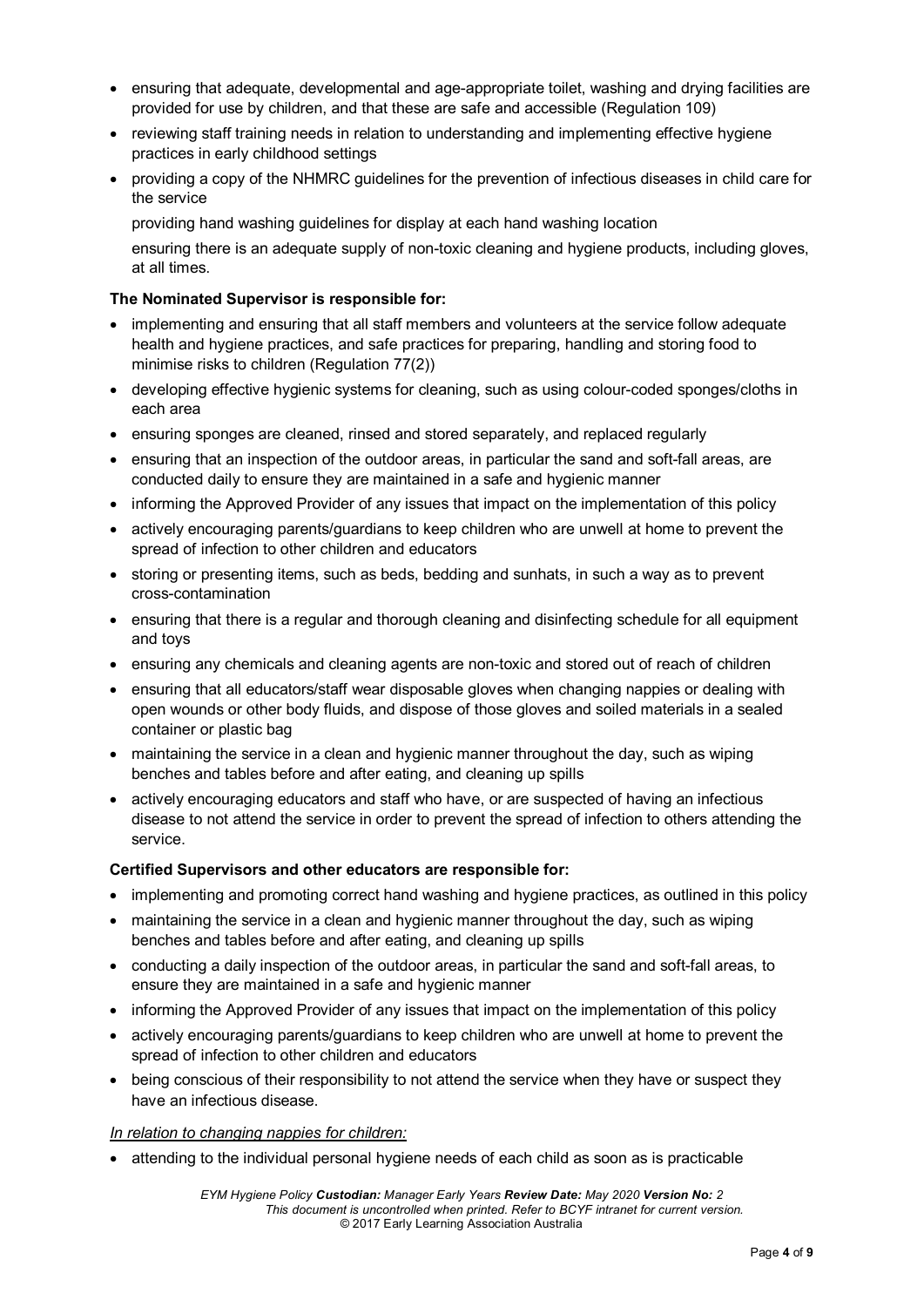- ensuring that adequate, developmental and age-appropriate toilet, washing and drying facilities are provided for use by children, and that these are safe and accessible (Regulation 109)
- reviewing staff training needs in relation to understanding and implementing effective hygiene practices in early childhood settings
- providing a copy of the NHMRC guidelines for the prevention of infectious diseases in child care for the service

providing hand washing guidelines for display at each hand washing location

ensuring there is an adequate supply of non-toxic cleaning and hygiene products, including gloves, at all times.

#### **The Nominated Supervisor is responsible for:**

- implementing and ensuring that all staff members and volunteers at the service follow adequate health and hygiene practices, and safe practices for preparing, handling and storing food to minimise risks to children (Regulation 77(2))
- developing effective hygienic systems for cleaning, such as using colour-coded sponges/cloths in each area
- ensuring sponges are cleaned, rinsed and stored separately, and replaced regularly
- ensuring that an inspection of the outdoor areas, in particular the sand and soft-fall areas, are conducted daily to ensure they are maintained in a safe and hygienic manner
- informing the Approved Provider of any issues that impact on the implementation of this policy
- actively encouraging parents/guardians to keep children who are unwell at home to prevent the spread of infection to other children and educators
- storing or presenting items, such as beds, bedding and sunhats, in such a way as to prevent cross-contamination
- ensuring that there is a regular and thorough cleaning and disinfecting schedule for all equipment and toys
- ensuring any chemicals and cleaning agents are non-toxic and stored out of reach of children
- ensuring that all educators/staff wear disposable gloves when changing nappies or dealing with open wounds or other body fluids, and dispose of those gloves and soiled materials in a sealed container or plastic bag
- maintaining the service in a clean and hygienic manner throughout the day, such as wiping benches and tables before and after eating, and cleaning up spills
- actively encouraging educators and staff who have, or are suspected of having an infectious disease to not attend the service in order to prevent the spread of infection to others attending the service.

#### **Certified Supervisors and other educators are responsible for:**

- implementing and promoting correct hand washing and hygiene practices, as outlined in this policy
- maintaining the service in a clean and hygienic manner throughout the day, such as wiping benches and tables before and after eating, and cleaning up spills
- conducting a daily inspection of the outdoor areas, in particular the sand and soft-fall areas, to ensure they are maintained in a safe and hygienic manner
- informing the Approved Provider of any issues that impact on the implementation of this policy
- actively encouraging parents/guardians to keep children who are unwell at home to prevent the spread of infection to other children and educators
- being conscious of their responsibility to not attend the service when they have or suspect they have an infectious disease.

#### *In relation to changing nappies for children:*

• attending to the individual personal hygiene needs of each child as soon as is practicable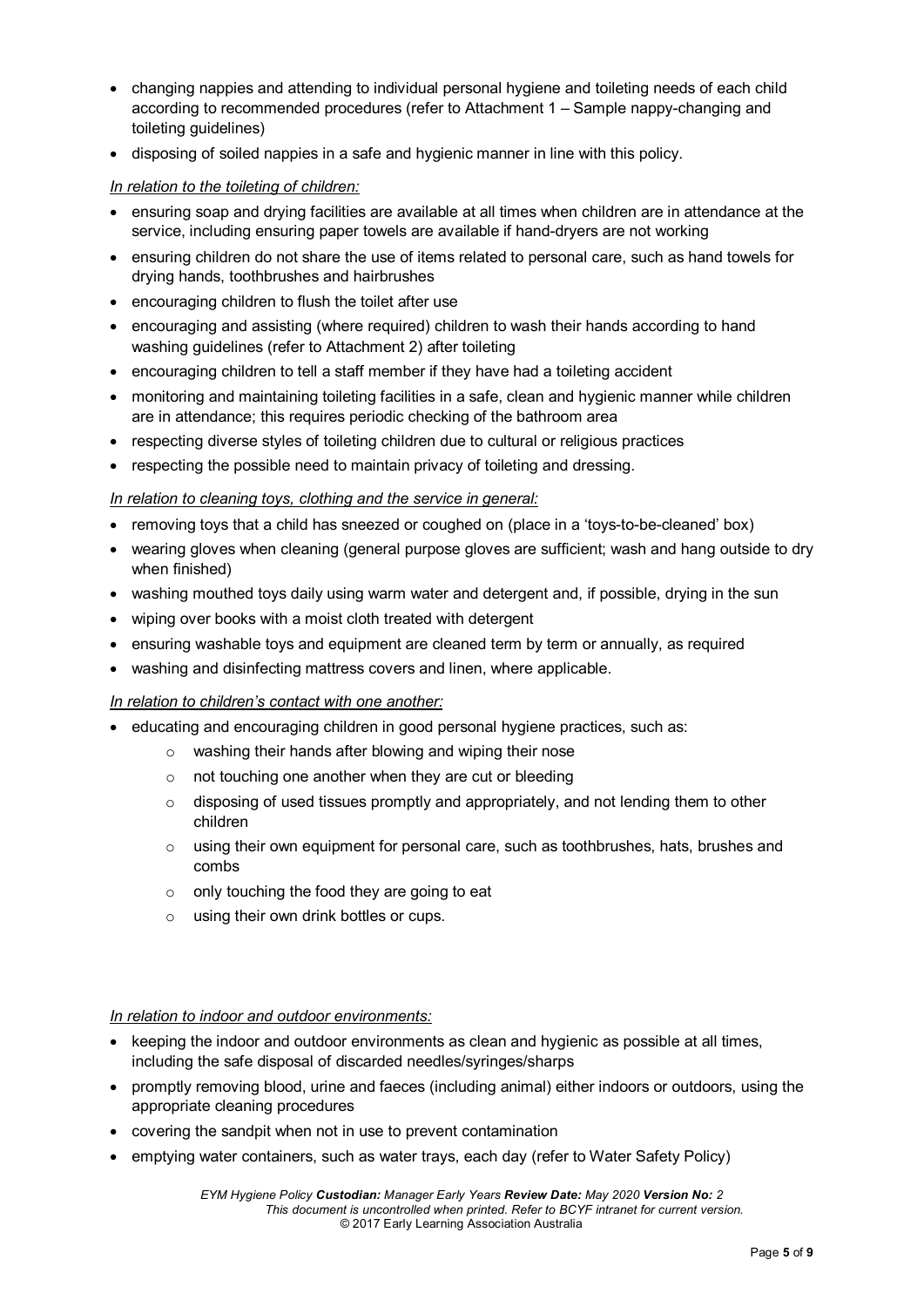- changing nappies and attending to individual personal hygiene and toileting needs of each child according to recommended procedures (refer to Attachment 1 – Sample nappy-changing and toileting guidelines)
- disposing of soiled nappies in a safe and hygienic manner in line with this policy.

#### *In relation to the toileting of children:*

- ensuring soap and drying facilities are available at all times when children are in attendance at the service, including ensuring paper towels are available if hand-dryers are not working
- ensuring children do not share the use of items related to personal care, such as hand towels for drying hands, toothbrushes and hairbrushes
- encouraging children to flush the toilet after use
- encouraging and assisting (where required) children to wash their hands according to hand washing guidelines (refer to Attachment 2) after toileting
- encouraging children to tell a staff member if they have had a toileting accident
- monitoring and maintaining toileting facilities in a safe, clean and hygienic manner while children are in attendance; this requires periodic checking of the bathroom area
- respecting diverse styles of toileting children due to cultural or religious practices
- respecting the possible need to maintain privacy of toileting and dressing.

#### *In relation to cleaning toys, clothing and the service in general:*

- removing toys that a child has sneezed or coughed on (place in a 'toys-to-be-cleaned' box)
- wearing gloves when cleaning (general purpose gloves are sufficient; wash and hang outside to dry when finished)
- washing mouthed toys daily using warm water and detergent and, if possible, drying in the sun
- wiping over books with a moist cloth treated with detergent
- ensuring washable toys and equipment are cleaned term by term or annually, as required
- washing and disinfecting mattress covers and linen, where applicable.

#### *In relation to children's contact with one another:*

- educating and encouraging children in good personal hygiene practices, such as:
	- o washing their hands after blowing and wiping their nose
	- o not touching one another when they are cut or bleeding
	- $\circ$  disposing of used tissues promptly and appropriately, and not lending them to other children
	- $\circ$  using their own equipment for personal care, such as toothbrushes, hats, brushes and combs
	- $\circ$  only touching the food they are going to eat
	- o using their own drink bottles or cups.

#### *In relation to indoor and outdoor environments:*

- keeping the indoor and outdoor environments as clean and hygienic as possible at all times, including the safe disposal of discarded needles/syringes/sharps
- promptly removing blood, urine and faeces (including animal) either indoors or outdoors, using the appropriate cleaning procedures
- covering the sandpit when not in use to prevent contamination
- emptying water containers, such as water trays, each day (refer to Water Safety Policy)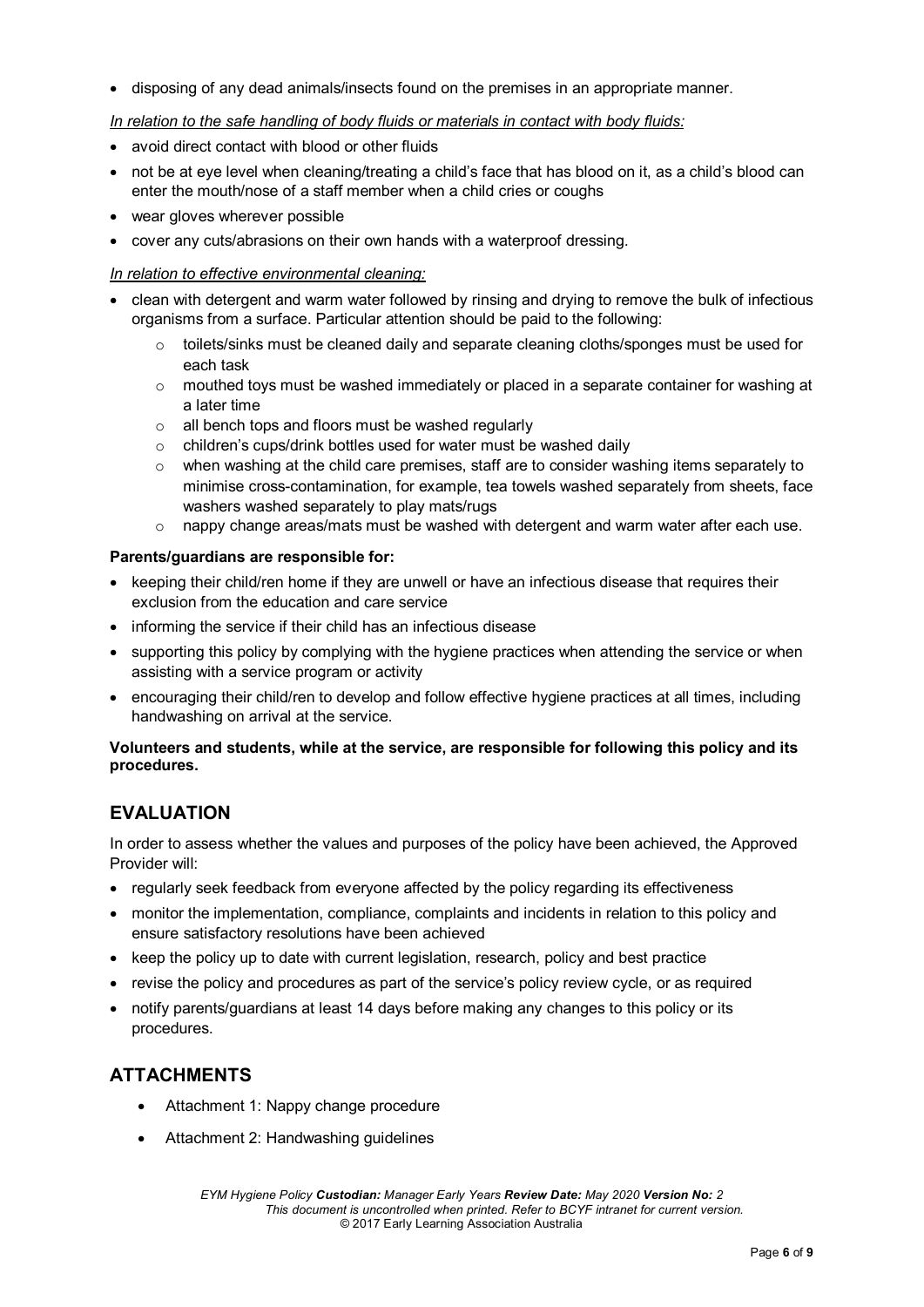• disposing of any dead animals/insects found on the premises in an appropriate manner.

#### *In relation to the safe handling of body fluids or materials in contact with body fluids:*

- avoid direct contact with blood or other fluids
- not be at eye level when cleaning/treating a child's face that has blood on it, as a child's blood can enter the mouth/nose of a staff member when a child cries or coughs
- wear gloves wherever possible
- cover any cuts/abrasions on their own hands with a waterproof dressing.

#### *In relation to effective environmental cleaning:*

- clean with detergent and warm water followed by rinsing and drying to remove the bulk of infectious organisms from a surface. Particular attention should be paid to the following:
	- $\circ$  toilets/sinks must be cleaned daily and separate cleaning cloths/sponges must be used for each task
	- o mouthed toys must be washed immediately or placed in a separate container for washing at a later time
	- o all bench tops and floors must be washed regularly
	- o children's cups/drink bottles used for water must be washed daily
	- $\circ$  when washing at the child care premises, staff are to consider washing items separately to minimise cross-contamination, for example, tea towels washed separately from sheets, face washers washed separately to play mats/rugs
	- $\circ$  nappy change areas/mats must be washed with detergent and warm water after each use.

#### **Parents/guardians are responsible for:**

- keeping their child/ren home if they are unwell or have an infectious disease that requires their exclusion from the education and care service
- informing the service if their child has an infectious disease
- supporting this policy by complying with the hygiene practices when attending the service or when assisting with a service program or activity
- encouraging their child/ren to develop and follow effective hygiene practices at all times, including handwashing on arrival at the service.

#### **Volunteers and students, while at the service, are responsible for following this policy and its procedures.**

## **EVALUATION**

In order to assess whether the values and purposes of the policy have been achieved, the Approved Provider will:

- regularly seek feedback from everyone affected by the policy regarding its effectiveness
- monitor the implementation, compliance, complaints and incidents in relation to this policy and ensure satisfactory resolutions have been achieved
- keep the policy up to date with current legislation, research, policy and best practice
- revise the policy and procedures as part of the service's policy review cycle, or as required
- notify parents/guardians at least 14 days before making any changes to this policy or its procedures.

## **ATTACHMENTS**

- Attachment 1: Nappy change procedure
- Attachment 2: Handwashing guidelines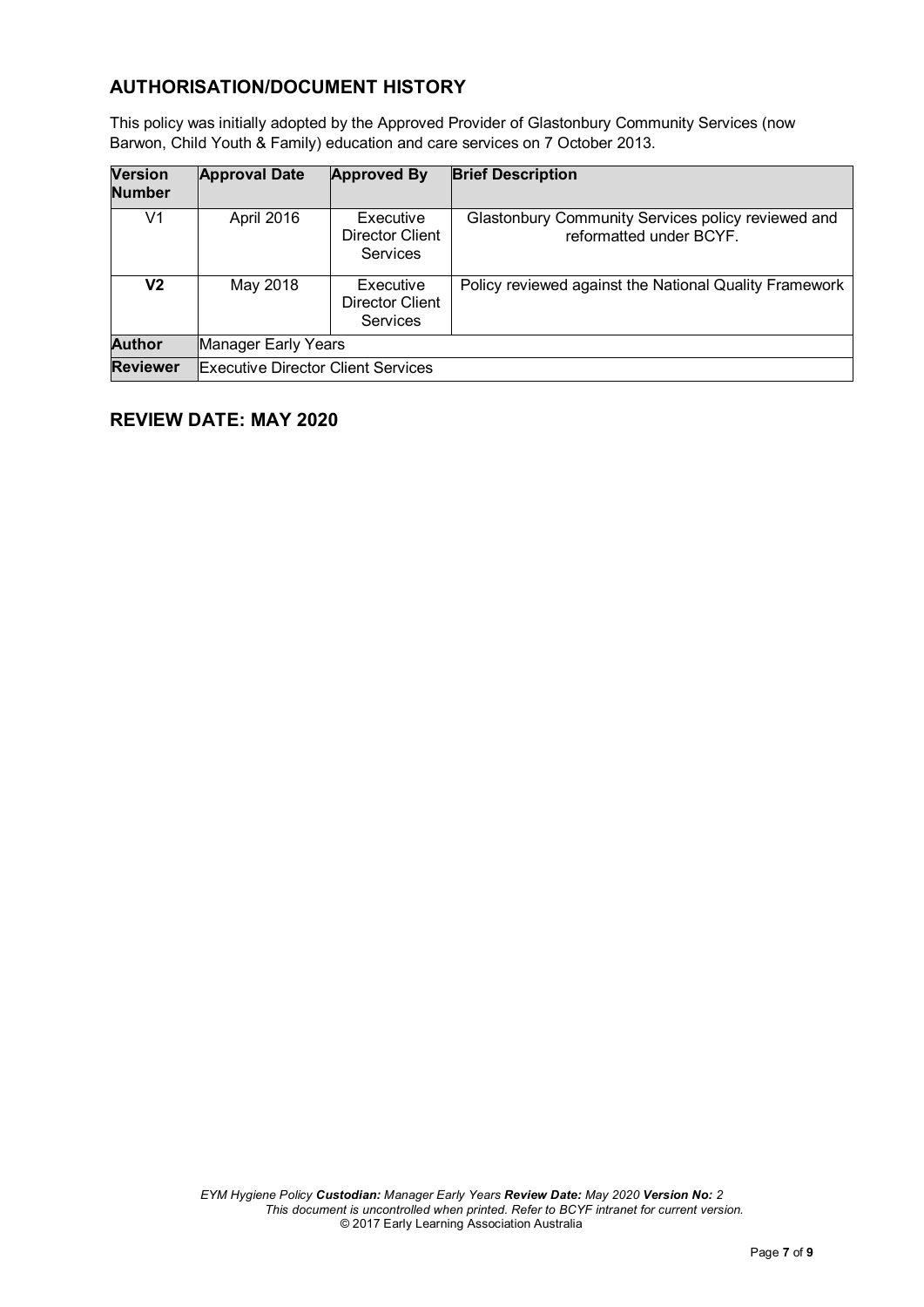## **AUTHORISATION/DOCUMENT HISTORY**

This policy was initially adopted by the Approved Provider of Glastonbury Community Services (now Barwon, Child Youth & Family) education and care services on 7 October 2013.

| <b>Version</b><br><b>Number</b> | <b>Approval Date</b>                      | <b>Approved By</b>                              | <b>Brief Description</b>                                                      |  |
|---------------------------------|-------------------------------------------|-------------------------------------------------|-------------------------------------------------------------------------------|--|
| V1                              | April 2016                                | Executive<br>Director Client<br><b>Services</b> | Glastonbury Community Services policy reviewed and<br>reformatted under BCYF. |  |
| V2                              | May 2018                                  | Executive<br>Director Client<br>Services        | Policy reviewed against the National Quality Framework                        |  |
| <b>Author</b>                   | Manager Early Years                       |                                                 |                                                                               |  |
| <b>Reviewer</b>                 | <b>Executive Director Client Services</b> |                                                 |                                                                               |  |

## **REVIEW DATE: MAY 2020**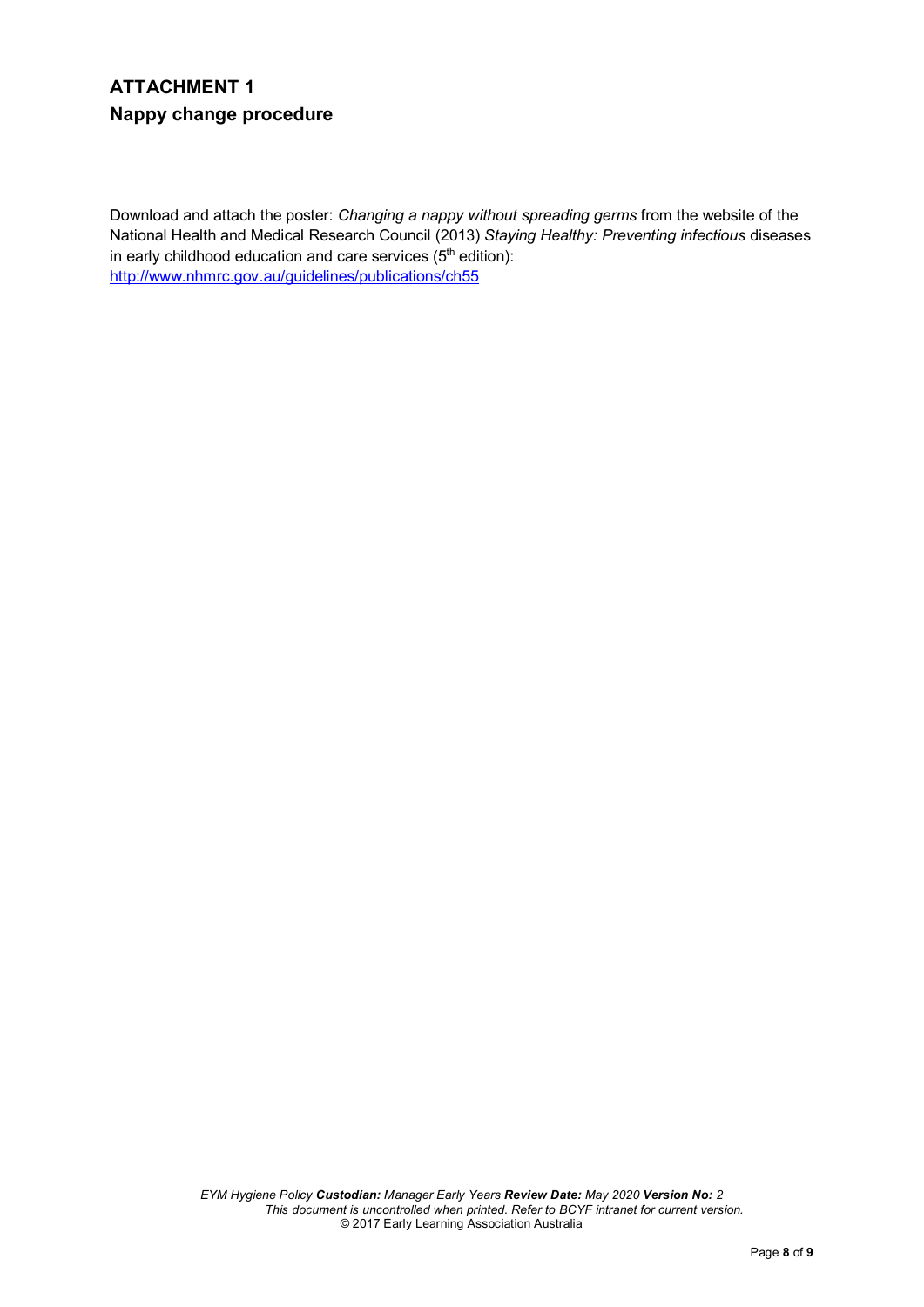# **ATTACHMENT 1 Nappy change procedure**

Download and attach the poster: *Changing a nappy without spreading germs* from the website of the National Health and Medical Research Council (2013) *Staying Healthy: Preventing infectious* diseases in early childhood education and care services (5<sup>th</sup> edition): <http://www.nhmrc.gov.au/guidelines/publications/ch55>